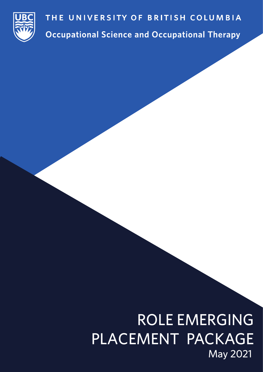

**Occupational Science and Occupational Therapy** 

# ROLE EMERGING PLACEMENT PACKAGE May 2021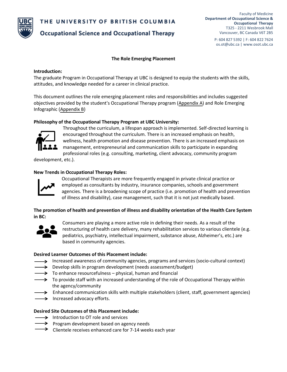

**Occupational Science and Occupational Therapy** 

P: 604 827 5392 | F: 604 822 7624 os.ot@ubc.ca | www.osot.ubc.ca

# **The Role Emerging Placement**

# **Introduction:**

The graduate Program in Occupational Therapy at UBC is designed to equip the students with the skills, attitudes, and knowledge needed for a career in clinical practice.

This document outlines the role emerging placement roles and responsibilities and includes suggested objectives provided by the student's Occupational Therapy program ([Appendix A](http://sandbox1-med-fom-osot.sites.olt.ubc.ca/files/2022/01/Appendix-A-Objectives-and-Ideas-to-Facilitate-Teaching-and-Learning-in-a-Role-Emerging-Placement.pdf)) and Role Emerging Infographic ([Appendix B](https://sandbox1-med-fom-osot.sites.olt.ubc.ca/files/2022/01/Appendix-B-MOT-Role-Emerging-Infographic.pdf))

# **Philosophy of the Occupational Therapy Program at UBC University:**



Throughout the curriculum, a lifespan approach is implemented. Self-directed learning is encouraged throughout the curriculum. There is an increased emphasis on health, wellness, health promotion and disease prevention. There is an increased emphasis on management, entrepreneurial and communication skills to participate in expanding professional roles (e.g. consulting, marketing, client advocacy, community program

development, etc.).

# **New Trends in Occupational Therapy Roles:**



Occupational Therapists are more frequently engaged in private clinical practice or employed as consultants by industry, insurance companies, schools and government agencies. There is a broadening scope of practice (i.e. promotion of health and prevention of illness and disability), case management, such that it is not just medically based.

**The promotion of health and prevention of illness and disability orientation of the Health Care System in BC:**



Consumers are playing a more active role in defining their needs. As a result of the restructuring of health care delivery, many rehabilitation services to various clientele (e.g. pediatrics, psychiatry, intellectual impairment, substance abuse, Alzheimer's, etc.) are based in community agencies.

# **Desired Learner Outcomes of this Placement include:**

- Increased awareness of community agencies, programs and services (socio-cultural context)
- $\rightarrow$  Develop skills in program development (needs assessment/budget)
- $\rightarrow$  To enhance resourcefulness physical, human and financial
- $\rightarrow$  To provide staff with an increased understanding of the role of Occupational Therapy within the agency/community
- $\rightarrow$  Enhanced communication skills with multiple stakeholders (client, staff, government agencies)
- $\rightarrow$  Increased advocacy efforts.

# **Desired Site Outcomes of this Placement include:**

- $\rightarrow$  Introduction to OT role and services
- $\rightarrow$  Program development based on agency needs
- $\rightarrow$  Clientele receives enhanced care for 7-14 weeks each year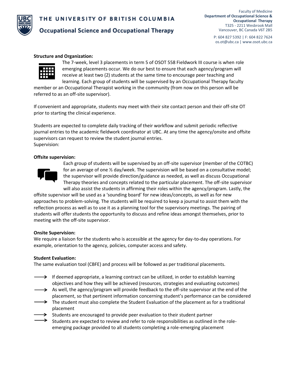

# **Occupational Science and Occupational Therapy**

P: 604 827 5392 | F: 604 822 7624 os.ot@ubc.ca | www.osot.ubc.ca

#### **Structure and Organization:**



The 7-week, level 3 placements in term 5 of OSOT 558 Fieldwork III course is when role emerging placements occur. We do our best to ensure that each agency/program will receive at least two (2) students at the same time to encourage peer teaching and learning. Each group of students will be supervised by an Occupational Therapy faculty

member or an Occupational Therapist working in the community (from now on this person will be referred to as an off-site supervisor).

If convenient and appropriate, students may meet with their site contact person and their off-site OT prior to starting the clinical experience.

Students are expected to complete daily tracking of their workflow and submit periodic reflective journal entries to the academic fieldwork coordinator at UBC. At any time the agency/onsite and offsite supervisors can request to review the student journal entries. Supervision:

# **Offsite supervision:**



Each group of students will be supervised by an off-site supervisor (member of the COTBC) for an average of one  $\frac{1}{2}$  day/week. The supervision will be based on a consultative model; the supervisor will provide direction/guidance as needed, as well as discuss Occupational Therapy theories and concepts related to the particular placement. The off-site supervisor will also assist the students in affirming their roles within the agency/program. Lastly, the

offsite supervisor will be used as a 'sounding board' for new ideas/concepts, as well as for new approaches to problem-solving. The students will be required to keep a journal to assist them with the reflection process as well as to use it as a planning tool for the supervisory meetings. The pairing of students will offer students the opportunity to discuss and refine ideas amongst themselves, prior to meeting with the off-site supervisor.

#### **Onsite Supervision:**

We require a liaison for the students who is accessible at the agency for day-to-day operations. For example, orientation to the agency, policies, computer access and safety.

#### **Student Evaluation:**

The same evaluation tool (CBFE) and process will be followed as per traditional placements.

- $\rightarrow$  If deemed appropriate, a learning contract can be utilized, in order to establish learning objectives and how they will be achieved (resources, strategies and evaluating outcomes)
- $\rightarrow$  As well, the agency/program will provide feedback to the off-site supervisor at the end of the placement, so that pertinent information concerning student's performance can be considered
- $\rightarrow$  The student must also complete the Student Evaluation of the placement as for a traditional placement
- Students are encouraged to provide peer evaluation to their student partner
- Students are expected to review and refer to role responsibilities as outlined in the roleemerging package provided to all students completing a role-emerging placement